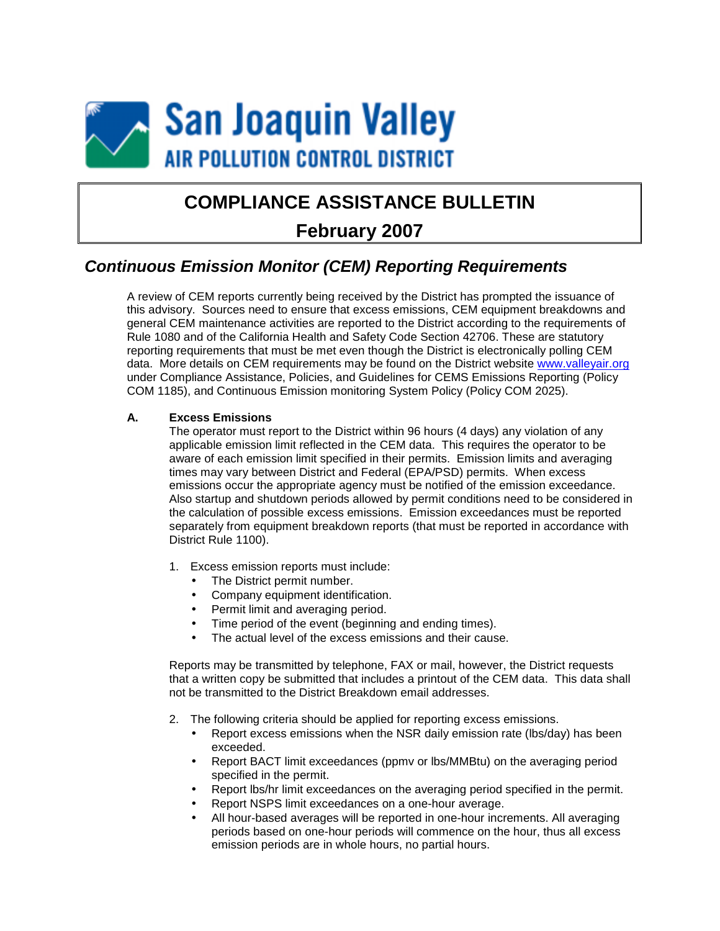

# **COMPLIANCE ASSISTANCE BULLETIN**

## **February 2007**

### *Continuous Emission Monitor (CEM) Reporting Requirements*

A review of CEM reports currently being received by the District has prompted the issuance of this advisory. Sources need to ensure that excess emissions, CEM equipment breakdowns and general CEM maintenance activities are reported to the District according to the requirements of Rule 1080 and of the California Health and Safety Code Section 42706. These are statutory reporting requirements that must be met even though the District is electronically polling CEM data. More details on CEM requirements may be found on the District website [www.valleyair.org](http://www.valleyair.org/) under Compliance Assistance, Policies, and Guidelines for CEMS Emissions Reporting (Policy COM 1185), and Continuous Emission monitoring System Policy (Policy COM 2025).

#### **A. Excess Emissions**

The operator must report to the District within 96 hours (4 days) any violation of any applicable emission limit reflected in the CEM data. This requires the operator to be aware of each emission limit specified in their permits. Emission limits and averaging times may vary between District and Federal (EPA/PSD) permits. When excess emissions occur the appropriate agency must be notified of the emission exceedance. Also startup and shutdown periods allowed by permit conditions need to be considered in the calculation of possible excess emissions. Emission exceedances must be reported separately from equipment breakdown reports (that must be reported in accordance with District Rule 1100).

- 1. Excess emission reports must include:
	- The District permit number.
	- Company equipment identification.
	- Permit limit and averaging period.
	- Time period of the event (beginning and ending times).
	- The actual level of the excess emissions and their cause.

Reports may be transmitted by telephone, FAX or mail, however, the District requests that a written copy be submitted that includes a printout of the CEM data. This data shall not be transmitted to the District Breakdown email addresses.

- 2. The following criteria should be applied for reporting excess emissions.
	- Report excess emissions when the NSR daily emission rate (lbs/day) has been exceeded.
	- Report BACT limit exceedances (ppmv or lbs/MMBtu) on the averaging period specified in the permit.
	- Report lbs/hr limit exceedances on the averaging period specified in the permit.
	- Report NSPS limit exceedances on a one-hour average.
	- All hour-based averages will be reported in one-hour increments. All averaging periods based on one-hour periods will commence on the hour, thus all excess emission periods are in whole hours, no partial hours.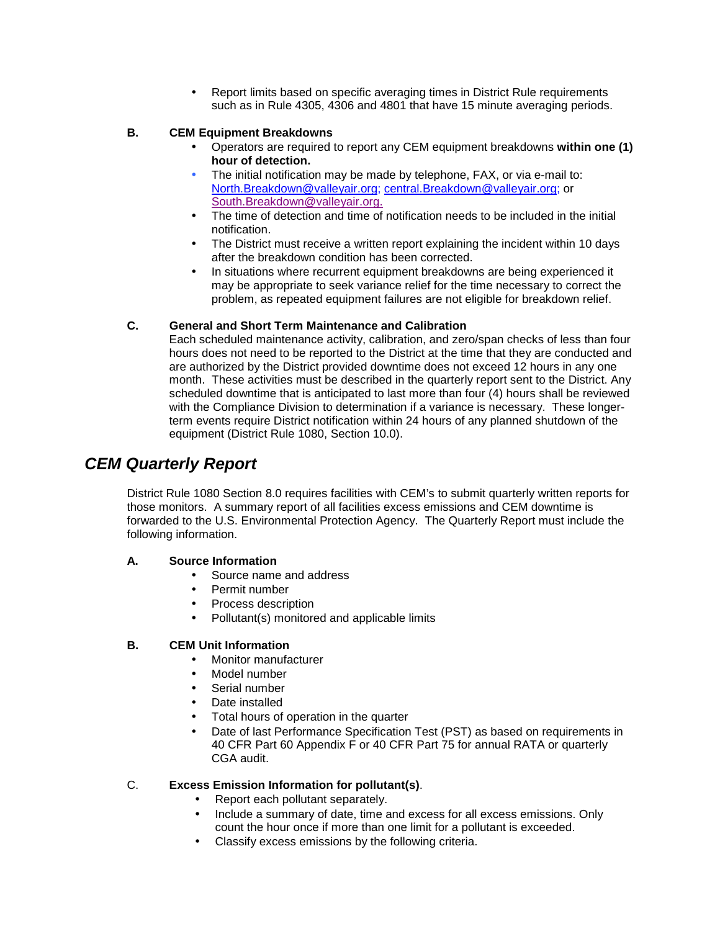• Report limits based on specific averaging times in District Rule requirements such as in Rule 4305, 4306 and 4801 that have 15 minute averaging periods.

#### **B. CEM Equipment Breakdowns**

- Operators are required to report any CEM equipment breakdowns **within one (1) hour of detection.**
- The initial notification may be made by telephone, FAX, or via e-mail to: [North.Breakdown@valleyair.org;](mailto:north.Breakdown@valleyair.org) [central.Breakdown@valleyair.org;](mailto:central.Breakdown@valleyair.org) or [South.Breakdown@valleyair.org.](mailto:South.Breakdown@valleyair.org.)
- The time of detection and time of notification needs to be included in the initial notification.
- The District must receive a written report explaining the incident within 10 days after the breakdown condition has been corrected.
- In situations where recurrent equipment breakdowns are being experienced it may be appropriate to seek variance relief for the time necessary to correct the problem, as repeated equipment failures are not eligible for breakdown relief.

#### **C. General and Short Term Maintenance and Calibration**

Each scheduled maintenance activity, calibration, and zero/span checks of less than four hours does not need to be reported to the District at the time that they are conducted and are authorized by the District provided downtime does not exceed 12 hours in any one month. These activities must be described in the quarterly report sent to the District. Any scheduled downtime that is anticipated to last more than four (4) hours shall be reviewed with the Compliance Division to determination if a variance is necessary. These longerterm events require District notification within 24 hours of any planned shutdown of the equipment (District Rule 1080, Section 10.0).

### *CEM Quarterly Report*

District Rule 1080 Section 8.0 requires facilities with CEM's to submit quarterly written reports for those monitors. A summary report of all facilities excess emissions and CEM downtime is forwarded to the U.S. Environmental Protection Agency. The Quarterly Report must include the following information.

#### **A. Source Information**

- Source name and address
- Permit number
- Process description
- Pollutant(s) monitored and applicable limits

#### **B. CEM Unit Information**

- Monitor manufacturer
- Model number
- Serial number
- Date installed
- Total hours of operation in the quarter
- Date of last Performance Specification Test (PST) as based on requirements in 40 CFR Part 60 Appendix F or 40 CFR Part 75 for annual RATA or quarterly CGA audit.

#### C. **Excess Emission Information for pollutant(s)**.

- Report each pollutant separately.
- Include a summary of date, time and excess for all excess emissions. Only count the hour once if more than one limit for a pollutant is exceeded.
- Classify excess emissions by the following criteria.